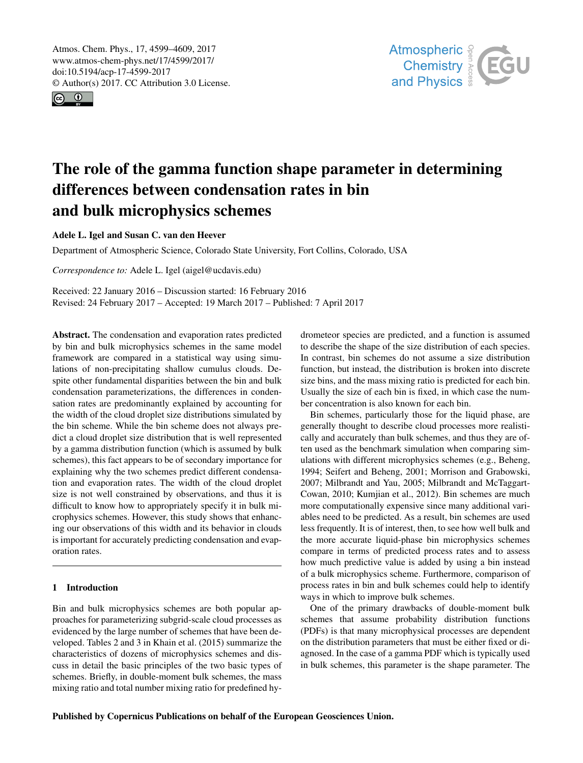<span id="page-0-0"></span>Atmos. Chem. Phys., 17, 4599–4609, 2017 www.atmos-chem-phys.net/17/4599/2017/ doi:10.5194/acp-17-4599-2017 © Author(s) 2017. CC Attribution 3.0 License.





# The role of the gamma function shape parameter in determining differences between condensation rates in bin and bulk microphysics schemes

Adele L. Igel and Susan C. van den Heever

Department of Atmospheric Science, Colorado State University, Fort Collins, Colorado, USA

*Correspondence to:* Adele L. Igel (aigel@ucdavis.edu)

Received: 22 January 2016 – Discussion started: 16 February 2016 Revised: 24 February 2017 – Accepted: 19 March 2017 – Published: 7 April 2017

Abstract. The condensation and evaporation rates predicted by bin and bulk microphysics schemes in the same model framework are compared in a statistical way using simulations of non-precipitating shallow cumulus clouds. Despite other fundamental disparities between the bin and bulk condensation parameterizations, the differences in condensation rates are predominantly explained by accounting for the width of the cloud droplet size distributions simulated by the bin scheme. While the bin scheme does not always predict a cloud droplet size distribution that is well represented by a gamma distribution function (which is assumed by bulk schemes), this fact appears to be of secondary importance for explaining why the two schemes predict different condensation and evaporation rates. The width of the cloud droplet size is not well constrained by observations, and thus it is difficult to know how to appropriately specify it in bulk microphysics schemes. However, this study shows that enhancing our observations of this width and its behavior in clouds is important for accurately predicting condensation and evaporation rates.

# 1 Introduction

Bin and bulk microphysics schemes are both popular approaches for parameterizing subgrid-scale cloud processes as evidenced by the large number of schemes that have been developed. Tables 2 and 3 in Khain et al. (2015) summarize the characteristics of dozens of microphysics schemes and discuss in detail the basic principles of the two basic types of schemes. Briefly, in double-moment bulk schemes, the mass mixing ratio and total number mixing ratio for predefined hydrometeor species are predicted, and a function is assumed to describe the shape of the size distribution of each species. In contrast, bin schemes do not assume a size distribution function, but instead, the distribution is broken into discrete size bins, and the mass mixing ratio is predicted for each bin. Usually the size of each bin is fixed, in which case the number concentration is also known for each bin.

Bin schemes, particularly those for the liquid phase, are generally thought to describe cloud processes more realistically and accurately than bulk schemes, and thus they are often used as the benchmark simulation when comparing simulations with different microphysics schemes (e.g., Beheng, 1994; Seifert and Beheng, 2001; Morrison and Grabowski, 2007; Milbrandt and Yau, 2005; Milbrandt and McTaggart-Cowan, 2010; Kumjian et al., 2012). Bin schemes are much more computationally expensive since many additional variables need to be predicted. As a result, bin schemes are used less frequently. It is of interest, then, to see how well bulk and the more accurate liquid-phase bin microphysics schemes compare in terms of predicted process rates and to assess how much predictive value is added by using a bin instead of a bulk microphysics scheme. Furthermore, comparison of process rates in bin and bulk schemes could help to identify ways in which to improve bulk schemes.

One of the primary drawbacks of double-moment bulk schemes that assume probability distribution functions (PDFs) is that many microphysical processes are dependent on the distribution parameters that must be either fixed or diagnosed. In the case of a gamma PDF which is typically used in bulk schemes, this parameter is the shape parameter. The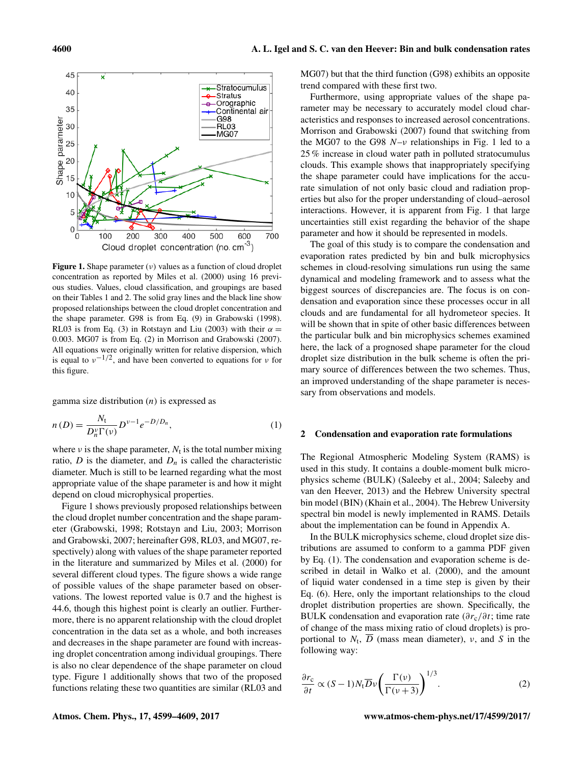

**Figure 1.** Shape parameter  $(v)$  values as a function of cloud droplet concentration as reported by Miles et al. (2000) using 16 previous studies. Values, cloud classification, and groupings are based on their Tables 1 and 2. The solid gray lines and the black line show proposed relationships between the cloud droplet concentration and the shape parameter. G98 is from Eq. (9) in Grabowski (1998). RL03 is from Eq. (3) in Rotstayn and Liu (2003) with their  $\alpha =$ 0.003. MG07 is from Eq. (2) in Morrison and Grabowski (2007). All equations were originally written for relative dispersion, which is equal to  $v^{-1/2}$ , and have been converted to equations for v for this figure.

gamma size distribution  $(n)$  is expressed as

$$
n(D) = \frac{N_t}{D_n^{\nu} \Gamma(\nu)} D^{\nu - 1} e^{-D/D_n},
$$
\n(1)

where  $\nu$  is the shape parameter,  $N_t$  is the total number mixing ratio,  $D$  is the diameter, and  $D_n$  is called the characteristic diameter. Much is still to be learned regarding what the most appropriate value of the shape parameter is and how it might depend on cloud microphysical properties.

Figure 1 shows previously proposed relationships between the cloud droplet number concentration and the shape parameter (Grabowski, 1998; Rotstayn and Liu, 2003; Morrison and Grabowski, 2007; hereinafter G98, RL03, and MG07, respectively) along with values of the shape parameter reported in the literature and summarized by Miles et al. (2000) for several different cloud types. The figure shows a wide range of possible values of the shape parameter based on observations. The lowest reported value is 0.7 and the highest is 44.6, though this highest point is clearly an outlier. Furthermore, there is no apparent relationship with the cloud droplet concentration in the data set as a whole, and both increases and decreases in the shape parameter are found with increasing droplet concentration among individual groupings. There is also no clear dependence of the shape parameter on cloud type. Figure 1 additionally shows that two of the proposed functions relating these two quantities are similar (RL03 and MG07) but that the third function (G98) exhibits an opposite trend compared with these first two.

Furthermore, using appropriate values of the shape parameter may be necessary to accurately model cloud characteristics and responses to increased aerosol concentrations. Morrison and Grabowski (2007) found that switching from the MG07 to the G98  $N-v$  relationships in Fig. 1 led to a 25 % increase in cloud water path in polluted stratocumulus clouds. This example shows that inappropriately specifying the shape parameter could have implications for the accurate simulation of not only basic cloud and radiation properties but also for the proper understanding of cloud–aerosol interactions. However, it is apparent from Fig. 1 that large uncertainties still exist regarding the behavior of the shape parameter and how it should be represented in models.

The goal of this study is to compare the condensation and evaporation rates predicted by bin and bulk microphysics schemes in cloud-resolving simulations run using the same dynamical and modeling framework and to assess what the biggest sources of discrepancies are. The focus is on condensation and evaporation since these processes occur in all clouds and are fundamental for all hydrometeor species. It will be shown that in spite of other basic differences between the particular bulk and bin microphysics schemes examined here, the lack of a prognosed shape parameter for the cloud droplet size distribution in the bulk scheme is often the primary source of differences between the two schemes. Thus, an improved understanding of the shape parameter is necessary from observations and models.

# 2 Condensation and evaporation rate formulations

The Regional Atmospheric Modeling System (RAMS) is used in this study. It contains a double-moment bulk microphysics scheme (BULK) (Saleeby et al., 2004; Saleeby and van den Heever, 2013) and the Hebrew University spectral bin model (BIN) (Khain et al., 2004). The Hebrew University spectral bin model is newly implemented in RAMS. Details about the implementation can be found in Appendix A.

In the BULK microphysics scheme, cloud droplet size distributions are assumed to conform to a gamma PDF given by Eq. (1). The condensation and evaporation scheme is described in detail in Walko et al. (2000), and the amount of liquid water condensed in a time step is given by their Eq. (6). Here, only the important relationships to the cloud droplet distribution properties are shown. Specifically, the BULK condensation and evaporation rate ( $\partial r_c/\partial t$ ; time rate of change of the mass mixing ratio of cloud droplets) is proportional to  $N_t$ , D (mass mean diameter),  $\nu$ , and S in the following way:

$$
\frac{\partial r_{\rm c}}{\partial t} \propto (S-1)N_{\rm t}\overline{D}\nu \left(\frac{\Gamma(\nu)}{\Gamma(\nu+3)}\right)^{1/3}.\tag{2}
$$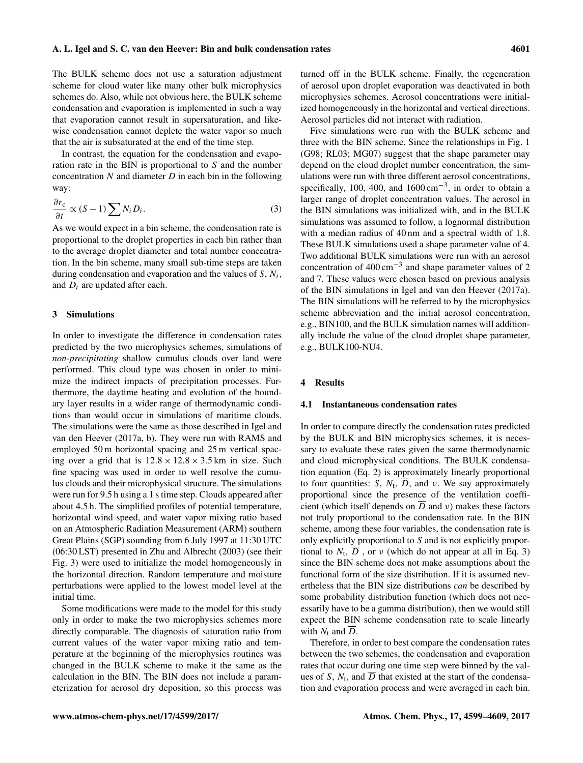The BULK scheme does not use a saturation adjustment scheme for cloud water like many other bulk microphysics schemes do. Also, while not obvious here, the BULK scheme condensation and evaporation is implemented in such a way that evaporation cannot result in supersaturation, and likewise condensation cannot deplete the water vapor so much that the air is subsaturated at the end of the time step.

In contrast, the equation for the condensation and evaporation rate in the BIN is proportional to S and the number concentration  $N$  and diameter  $D$  in each bin in the following way:

$$
\frac{\partial r_{\rm c}}{\partial t} \propto (S-1) \sum N_i D_i.
$$
 (3)

As we would expect in a bin scheme, the condensation rate is proportional to the droplet properties in each bin rather than to the average droplet diameter and total number concentration. In the bin scheme, many small sub-time steps are taken during condensation and evaporation and the values of  $S, N_i$ , and  $D_i$  are updated after each.

#### 3 Simulations

In order to investigate the difference in condensation rates predicted by the two microphysics schemes, simulations of *non-precipitating* shallow cumulus clouds over land were performed. This cloud type was chosen in order to minimize the indirect impacts of precipitation processes. Furthermore, the daytime heating and evolution of the boundary layer results in a wider range of thermodynamic conditions than would occur in simulations of maritime clouds. The simulations were the same as those described in Igel and van den Heever (2017a, b). They were run with RAMS and employed 50 m horizontal spacing and 25 m vertical spacing over a grid that is  $12.8 \times 12.8 \times 3.5$  km in size. Such fine spacing was used in order to well resolve the cumulus clouds and their microphysical structure. The simulations were run for 9.5 h using a 1 s time step. Clouds appeared after about 4.5 h. The simplified profiles of potential temperature, horizontal wind speed, and water vapor mixing ratio based on an Atmospheric Radiation Measurement (ARM) southern Great Plains (SGP) sounding from 6 July 1997 at 11:30 UTC (06:30 LST) presented in Zhu and Albrecht (2003) (see their Fig. 3) were used to initialize the model homogeneously in the horizontal direction. Random temperature and moisture perturbations were applied to the lowest model level at the initial time.

Some modifications were made to the model for this study only in order to make the two microphysics schemes more directly comparable. The diagnosis of saturation ratio from current values of the water vapor mixing ratio and temperature at the beginning of the microphysics routines was changed in the BULK scheme to make it the same as the calculation in the BIN. The BIN does not include a parameterization for aerosol dry deposition, so this process was turned off in the BULK scheme. Finally, the regeneration of aerosol upon droplet evaporation was deactivated in both microphysics schemes. Aerosol concentrations were initialized homogeneously in the horizontal and vertical directions. Aerosol particles did not interact with radiation.

Five simulations were run with the BULK scheme and three with the BIN scheme. Since the relationships in Fig. 1 (G98; RL03; MG07) suggest that the shape parameter may depend on the cloud droplet number concentration, the simulations were run with three different aerosol concentrations, specifically, 100, 400, and  $1600 \text{ cm}^{-3}$ , in order to obtain a larger range of droplet concentration values. The aerosol in the BIN simulations was initialized with, and in the BULK simulations was assumed to follow, a lognormal distribution with a median radius of 40 nm and a spectral width of 1.8. These BULK simulations used a shape parameter value of 4. Two additional BULK simulations were run with an aerosol concentration of  $400 \text{ cm}^{-3}$  and shape parameter values of 2 and 7. These values were chosen based on previous analysis of the BIN simulations in Igel and van den Heever (2017a). The BIN simulations will be referred to by the microphysics scheme abbreviation and the initial aerosol concentration, e.g., BIN100, and the BULK simulation names will additionally include the value of the cloud droplet shape parameter, e.g., BULK100-NU4.

#### 4 Results

# 4.1 Instantaneous condensation rates

In order to compare directly the condensation rates predicted by the BULK and BIN microphysics schemes, it is necessary to evaluate these rates given the same thermodynamic and cloud microphysical conditions. The BULK condensation equation (Eq. 2) is approximately linearly proportional to four quantities:  $S$ ,  $N_t$ ,  $D$ , and  $\nu$ . We say approximately proportional since the presence of the ventilation coefficient (which itself depends on  $\overline{D}$  and v) makes these factors not truly proportional to the condensation rate. In the BIN scheme, among these four variables, the condensation rate is only explicitly proportional to S and is not explicitly proportional to  $N_t$ ,  $D$ , or  $\nu$  (which do not appear at all in Eq. 3) since the BIN scheme does not make assumptions about the functional form of the size distribution. If it is assumed nevertheless that the BIN size distributions *can* be described by some probability distribution function (which does not necessarily have to be a gamma distribution), then we would still expect the BIN scheme condensation rate to scale linearly with  $N_t$  and  $\overline{D}$ .

Therefore, in order to best compare the condensation rates between the two schemes, the condensation and evaporation rates that occur during one time step were binned by the values of  $S$ ,  $N_t$ , and  $D$  that existed at the start of the condensation and evaporation process and were averaged in each bin.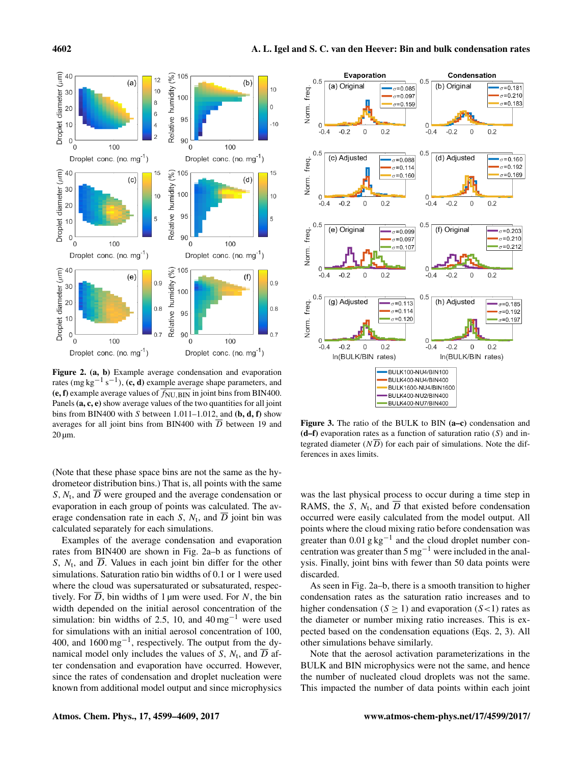

Figure 2. (a, b) Example average condensation and evaporation rates (mg kg<sup>-1</sup> s<sup>-1</sup>), (c, d) example average shape parameters, and (e, f) example average values of  $\overline{f_{\rm NU,BIN}}$  in joint bins from BIN400. Panels  $(a, c, e)$  show average values of the two quantities for all joint bins from BIN400 with S between 1.011–1.012, and  $(b, d, f)$  show averages for all joint bins from BIN400 with  $\overline{D}$  between 19 and  $20 \mu m$ .

(Note that these phase space bins are not the same as the hydrometeor distribution bins.) That is, all points with the same  $S, N_t$ , and  $D$  were grouped and the average condensation or evaporation in each group of points was calculated. The average condensation rate in each  $S$ ,  $N_t$ , and  $D$  joint bin was calculated separately for each simulations.

Examples of the average condensation and evaporation rates from BIN400 are shown in Fig. 2a–b as functions of  $S$ ,  $N_t$ , and  $D$ . Values in each joint bin differ for the other simulations. Saturation ratio bin widths of 0.1 or 1 were used where the cloud was supersaturated or subsaturated, respectively. For  $\overline{D}$ , bin widths of 1 µm were used. For N, the bin width depended on the initial aerosol concentration of the simulation: bin widths of 2.5, 10, and  $40 \text{ mg}^{-1}$  were used for simulations with an initial aerosol concentration of 100, 400, and  $1600 \text{ mg}^{-1}$ , respectively. The output from the dynamical model only includes the values of  $S$ ,  $N_t$ , and  $D$  after condensation and evaporation have occurred. However, since the rates of condensation and droplet nucleation were known from additional model output and since microphysics



Figure 3. The ratio of the BULK to BIN (a–c) condensation and (d–f) evaporation rates as a function of saturation ratio  $(S)$  and integrated diameter  $(N\overline{D})$  for each pair of simulations. Note the differences in axes limits.

was the last physical process to occur during a time step in RAMS, the  $S$ ,  $N_t$ , and  $D$  that existed before condensation occurred were easily calculated from the model output. All points where the cloud mixing ratio before condensation was greater than  $0.01$  g kg<sup>-1</sup> and the cloud droplet number concentration was greater than  $5 \text{ mg}^{-1}$  were included in the analysis. Finally, joint bins with fewer than 50 data points were discarded.

As seen in Fig. 2a–b, there is a smooth transition to higher condensation rates as the saturation ratio increases and to higher condensation ( $S \ge 1$ ) and evaporation ( $S < 1$ ) rates as the diameter or number mixing ratio increases. This is expected based on the condensation equations (Eqs. 2, 3). All other simulations behave similarly.

Note that the aerosol activation parameterizations in the BULK and BIN microphysics were not the same, and hence the number of nucleated cloud droplets was not the same. This impacted the number of data points within each joint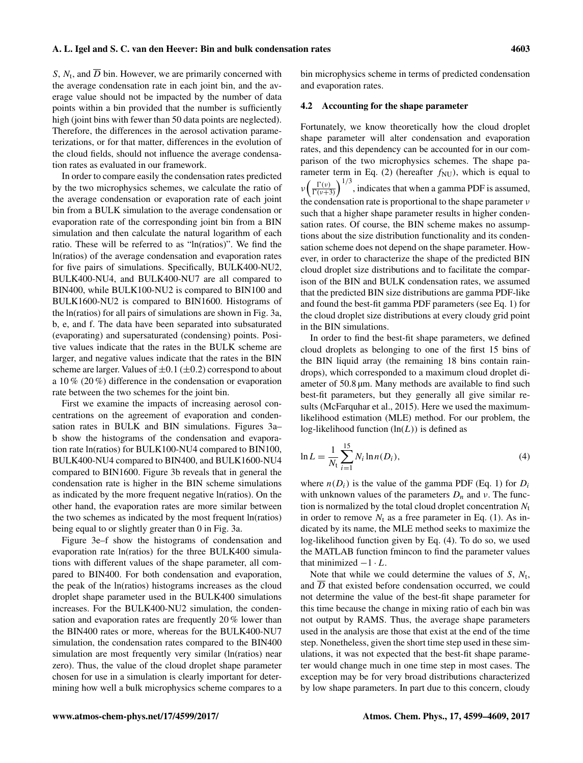$S, N_t$ , and  $D$  bin. However, we are primarily concerned with the average condensation rate in each joint bin, and the average value should not be impacted by the number of data points within a bin provided that the number is sufficiently high (joint bins with fewer than 50 data points are neglected). Therefore, the differences in the aerosol activation parameterizations, or for that matter, differences in the evolution of the cloud fields, should not influence the average condensation rates as evaluated in our framework.

In order to compare easily the condensation rates predicted by the two microphysics schemes, we calculate the ratio of the average condensation or evaporation rate of each joint bin from a BULK simulation to the average condensation or evaporation rate of the corresponding joint bin from a BIN simulation and then calculate the natural logarithm of each ratio. These will be referred to as "ln(ratios)". We find the ln(ratios) of the average condensation and evaporation rates for five pairs of simulations. Specifically, BULK400-NU2, BULK400-NU4, and BULK400-NU7 are all compared to BIN400, while BULK100-NU2 is compared to BIN100 and BULK1600-NU2 is compared to BIN1600. Histograms of the ln(ratios) for all pairs of simulations are shown in Fig. 3a, b, e, and f. The data have been separated into subsaturated (evaporating) and supersaturated (condensing) points. Positive values indicate that the rates in the BULK scheme are larger, and negative values indicate that the rates in the BIN scheme are larger. Values of  $\pm 0.1$  ( $\pm 0.2$ ) correspond to about a 10 % (20 %) difference in the condensation or evaporation rate between the two schemes for the joint bin.

First we examine the impacts of increasing aerosol concentrations on the agreement of evaporation and condensation rates in BULK and BIN simulations. Figures 3a– b show the histograms of the condensation and evaporation rate ln(ratios) for BULK100-NU4 compared to BIN100, BULK400-NU4 compared to BIN400, and BULK1600-NU4 compared to BIN1600. Figure 3b reveals that in general the condensation rate is higher in the BIN scheme simulations as indicated by the more frequent negative ln(ratios). On the other hand, the evaporation rates are more similar between the two schemes as indicated by the most frequent ln(ratios) being equal to or slightly greater than 0 in Fig. 3a.

Figure 3e–f show the histograms of condensation and evaporation rate ln(ratios) for the three BULK400 simulations with different values of the shape parameter, all compared to BIN400. For both condensation and evaporation, the peak of the ln(ratios) histograms increases as the cloud droplet shape parameter used in the BULK400 simulations increases. For the BULK400-NU2 simulation, the condensation and evaporation rates are frequently 20 % lower than the BIN400 rates or more, whereas for the BULK400-NU7 simulation, the condensation rates compared to the BIN400 simulation are most frequently very similar (ln(ratios) near zero). Thus, the value of the cloud droplet shape parameter chosen for use in a simulation is clearly important for determining how well a bulk microphysics scheme compares to a bin microphysics scheme in terms of predicted condensation and evaporation rates.

# 4.2 Accounting for the shape parameter

Fortunately, we know theoretically how the cloud droplet shape parameter will alter condensation and evaporation rates, and this dependency can be accounted for in our comparison of the two microphysics schemes. The shape parameter term in Eq. (2) (hereafter  $f_{NU}$ ), which is equal to  $\nu \left( \frac{\Gamma(\nu)}{\Gamma(\nu+3)} \right)^{1/3}$ , indicates that when a gamma PDF is assumed, the condensation rate is proportional to the shape parameter ν such that a higher shape parameter results in higher condensation rates. Of course, the BIN scheme makes no assumptions about the size distribution functionality and its condensation scheme does not depend on the shape parameter. However, in order to characterize the shape of the predicted BIN cloud droplet size distributions and to facilitate the comparison of the BIN and BULK condensation rates, we assumed that the predicted BIN size distributions are gamma PDF-like and found the best-fit gamma PDF parameters (see Eq. 1) for the cloud droplet size distributions at every cloudy grid point in the BIN simulations.

In order to find the best-fit shape parameters, we defined cloud droplets as belonging to one of the first 15 bins of the BIN liquid array (the remaining 18 bins contain raindrops), which corresponded to a maximum cloud droplet diameter of 50.8 µm. Many methods are available to find such best-fit parameters, but they generally all give similar results (McFarquhar et al., 2015). Here we used the maximumlikelihood estimation (MLE) method. For our problem, the log-likelihood function  $(\ln(L))$  is defined as

$$
\ln L = \frac{1}{N_{\rm t}} \sum_{i=1}^{15} N_i \ln n(D_i),\tag{4}
$$

where  $n(D_i)$  is the value of the gamma PDF (Eq. 1) for  $D_i$ with unknown values of the parameters  $D_n$  and  $\nu$ . The function is normalized by the total cloud droplet concentration  $N_t$ in order to remove  $N_t$  as a free parameter in Eq. (1). As indicated by its name, the MLE method seeks to maximize the log-likelihood function given by Eq. (4). To do so, we used the MATLAB function fmincon to find the parameter values that minimized  $-1 \cdot L$ .

Note that while we could determine the values of  $S$ ,  $N_t$ , and D that existed before condensation occurred, we could not determine the value of the best-fit shape parameter for this time because the change in mixing ratio of each bin was not output by RAMS. Thus, the average shape parameters used in the analysis are those that exist at the end of the time step. Nonetheless, given the short time step used in these simulations, it was not expected that the best-fit shape parameter would change much in one time step in most cases. The exception may be for very broad distributions characterized by low shape parameters. In part due to this concern, cloudy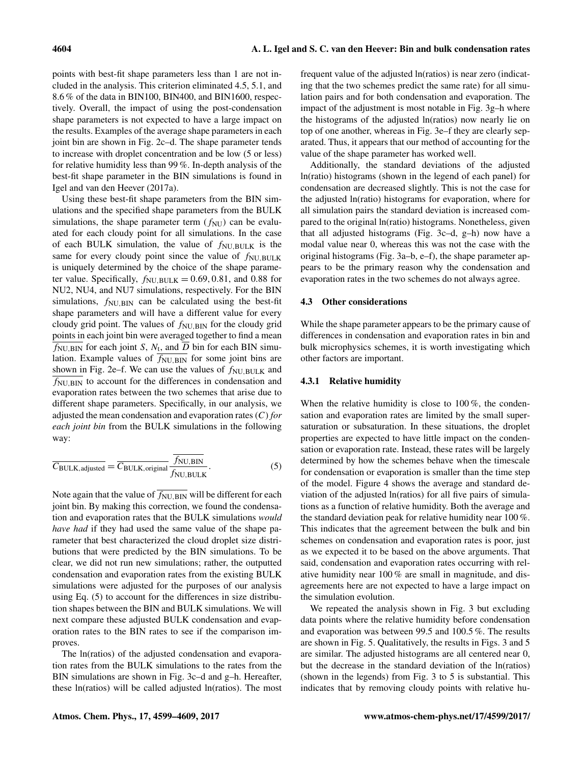points with best-fit shape parameters less than 1 are not included in the analysis. This criterion eliminated 4.5, 5.1, and 8.6 % of the data in BIN100, BIN400, and BIN1600, respectively. Overall, the impact of using the post-condensation shape parameters is not expected to have a large impact on the results. Examples of the average shape parameters in each joint bin are shown in Fig. 2c–d. The shape parameter tends to increase with droplet concentration and be low (5 or less) for relative humidity less than 99 %. In-depth analysis of the best-fit shape parameter in the BIN simulations is found in Igel and van den Heever (2017a).

Using these best-fit shape parameters from the BIN simulations and the specified shape parameters from the BULK simulations, the shape parameter term  $(f_{NU})$  can be evaluated for each cloudy point for all simulations. In the case of each BULK simulation, the value of  $f_{\text{NU,BULK}}$  is the same for every cloudy point since the value of  $f_{\text{NU,BULK}}$ is uniquely determined by the choice of the shape parameter value. Specifically,  $f_{\text{NU,BULK}} = 0.69, 0.81,$  and 0.88 for NU2, NU4, and NU7 simulations, respectively. For the BIN simulations,  $f_{\text{NU,BIN}}$  can be calculated using the best-fit shape parameters and will have a different value for every cloudy grid point. The values of  $f_{\text{NU,BIN}}$  for the cloudy grid points in each joint bin were averaged together to find a mean  $f_{NU,BIN}$  for each joint S,  $N_t$ , and D bin for each BIN simulation. Example values of  $\overline{f_{\text{NU,BIN}}}$  for some joint bins are shown in Fig. 2e–f. We can use the values of  $f_{\text{NU,BULK}}$  and  $f_{\text{NU,BIN}}$  to account for the differences in condensation and evaporation rates between the two schemes that arise due to different shape parameters. Specifically, in our analysis, we adjusted the mean condensation and evaporation rates (C) *for each joint bin* from the BULK simulations in the following way:

$$
\overline{C_{\text{BULK, adjusted}}} = \overline{C_{\text{BULK,original}} \frac{f_{\text{NU,BIN}}}{f_{\text{NU,BULK}}}.
$$
\n(5)

Note again that the value of  $\overline{f_{\text{NU,BIN}}}$  will be different for each joint bin. By making this correction, we found the condensation and evaporation rates that the BULK simulations *would have had* if they had used the same value of the shape parameter that best characterized the cloud droplet size distributions that were predicted by the BIN simulations. To be clear, we did not run new simulations; rather, the outputted condensation and evaporation rates from the existing BULK simulations were adjusted for the purposes of our analysis using Eq. (5) to account for the differences in size distribution shapes between the BIN and BULK simulations. We will next compare these adjusted BULK condensation and evaporation rates to the BIN rates to see if the comparison improves.

The ln(ratios) of the adjusted condensation and evaporation rates from the BULK simulations to the rates from the BIN simulations are shown in Fig. 3c–d and g–h. Hereafter, these ln(ratios) will be called adjusted ln(ratios). The most frequent value of the adjusted ln(ratios) is near zero (indicating that the two schemes predict the same rate) for all simulation pairs and for both condensation and evaporation. The impact of the adjustment is most notable in Fig. 3g–h where the histograms of the adjusted ln(ratios) now nearly lie on top of one another, whereas in Fig. 3e–f they are clearly separated. Thus, it appears that our method of accounting for the value of the shape parameter has worked well.

Additionally, the standard deviations of the adjusted ln(ratio) histograms (shown in the legend of each panel) for condensation are decreased slightly. This is not the case for the adjusted ln(ratio) histograms for evaporation, where for all simulation pairs the standard deviation is increased compared to the original ln(ratio) histograms. Nonetheless, given that all adjusted histograms (Fig. 3c–d, g–h) now have a modal value near 0, whereas this was not the case with the original histograms (Fig. 3a–b, e–f), the shape parameter appears to be the primary reason why the condensation and evaporation rates in the two schemes do not always agree.

# 4.3 Other considerations

While the shape parameter appears to be the primary cause of differences in condensation and evaporation rates in bin and bulk microphysics schemes, it is worth investigating which other factors are important.

#### 4.3.1 Relative humidity

When the relative humidity is close to 100 %, the condensation and evaporation rates are limited by the small supersaturation or subsaturation. In these situations, the droplet properties are expected to have little impact on the condensation or evaporation rate. Instead, these rates will be largely determined by how the schemes behave when the timescale for condensation or evaporation is smaller than the time step of the model. Figure 4 shows the average and standard deviation of the adjusted ln(ratios) for all five pairs of simulations as a function of relative humidity. Both the average and the standard deviation peak for relative humidity near 100 %. This indicates that the agreement between the bulk and bin schemes on condensation and evaporation rates is poor, just as we expected it to be based on the above arguments. That said, condensation and evaporation rates occurring with relative humidity near 100 % are small in magnitude, and disagreements here are not expected to have a large impact on the simulation evolution.

We repeated the analysis shown in Fig. 3 but excluding data points where the relative humidity before condensation and evaporation was between 99.5 and 100.5 %. The results are shown in Fig. 5. Qualitatively, the results in Figs. 3 and 5 are similar. The adjusted histograms are all centered near 0, but the decrease in the standard deviation of the ln(ratios) (shown in the legends) from Fig. 3 to 5 is substantial. This indicates that by removing cloudy points with relative hu-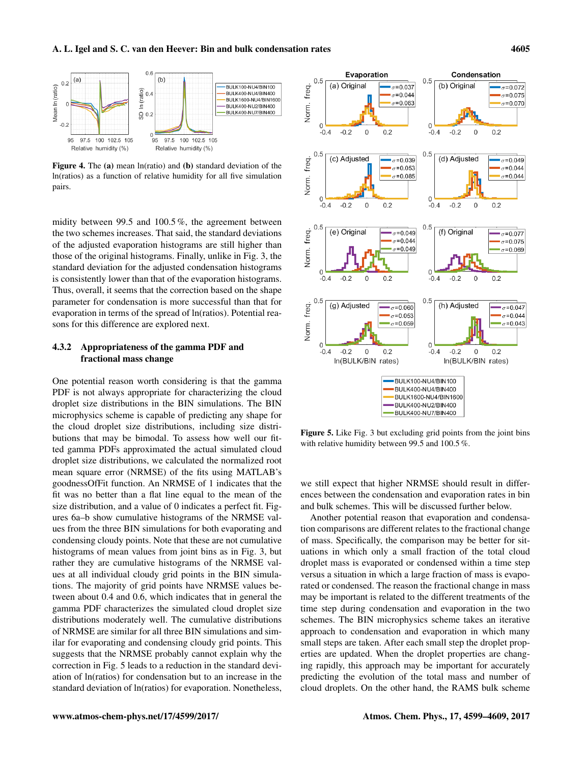#### A. L. Igel and S. C. van den Heever: Bin and bulk condensation rates 4605



Figure 4. The (a) mean ln(ratio) and (b) standard deviation of the ln(ratios) as a function of relative humidity for all five simulation pairs.

midity between 99.5 and 100.5 %, the agreement between the two schemes increases. That said, the standard deviations of the adjusted evaporation histograms are still higher than those of the original histograms. Finally, unlike in Fig. 3, the standard deviation for the adjusted condensation histograms is consistently lower than that of the evaporation histograms. Thus, overall, it seems that the correction based on the shape parameter for condensation is more successful than that for evaporation in terms of the spread of ln(ratios). Potential reasons for this difference are explored next.

# 4.3.2 Appropriateness of the gamma PDF and fractional mass change

One potential reason worth considering is that the gamma PDF is not always appropriate for characterizing the cloud droplet size distributions in the BIN simulations. The BIN microphysics scheme is capable of predicting any shape for the cloud droplet size distributions, including size distributions that may be bimodal. To assess how well our fitted gamma PDFs approximated the actual simulated cloud droplet size distributions, we calculated the normalized root mean square error (NRMSE) of the fits using MATLAB's goodnessOfFit function. An NRMSE of 1 indicates that the fit was no better than a flat line equal to the mean of the size distribution, and a value of 0 indicates a perfect fit. Figures 6a–b show cumulative histograms of the NRMSE values from the three BIN simulations for both evaporating and condensing cloudy points. Note that these are not cumulative histograms of mean values from joint bins as in Fig. 3, but rather they are cumulative histograms of the NRMSE values at all individual cloudy grid points in the BIN simulations. The majority of grid points have NRMSE values between about 0.4 and 0.6, which indicates that in general the gamma PDF characterizes the simulated cloud droplet size distributions moderately well. The cumulative distributions of NRMSE are similar for all three BIN simulations and similar for evaporating and condensing cloudy grid points. This suggests that the NRMSE probably cannot explain why the correction in Fig. 5 leads to a reduction in the standard deviation of ln(ratios) for condensation but to an increase in the standard deviation of ln(ratios) for evaporation. Nonetheless,



Figure 5. Like Fig. 3 but excluding grid points from the joint bins with relative humidity between 99.5 and 100.5 %.

we still expect that higher NRMSE should result in differences between the condensation and evaporation rates in bin and bulk schemes. This will be discussed further below.

Another potential reason that evaporation and condensation comparisons are different relates to the fractional change of mass. Specifically, the comparison may be better for situations in which only a small fraction of the total cloud droplet mass is evaporated or condensed within a time step versus a situation in which a large fraction of mass is evaporated or condensed. The reason the fractional change in mass may be important is related to the different treatments of the time step during condensation and evaporation in the two schemes. The BIN microphysics scheme takes an iterative approach to condensation and evaporation in which many small steps are taken. After each small step the droplet properties are updated. When the droplet properties are changing rapidly, this approach may be important for accurately predicting the evolution of the total mass and number of cloud droplets. On the other hand, the RAMS bulk scheme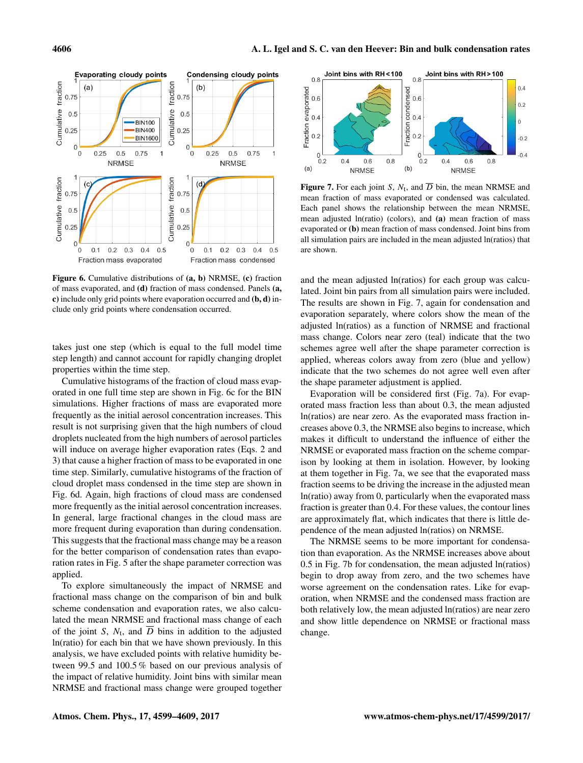

Figure 6. Cumulative distributions of (a, b) NRMSE, (c) fraction of mass evaporated, and (d) fraction of mass condensed. Panels (a, c) include only grid points where evaporation occurred and  $(b, d)$  include only grid points where condensation occurred.

takes just one step (which is equal to the full model time step length) and cannot account for rapidly changing droplet properties within the time step.

Cumulative histograms of the fraction of cloud mass evaporated in one full time step are shown in Fig. 6c for the BIN simulations. Higher fractions of mass are evaporated more frequently as the initial aerosol concentration increases. This result is not surprising given that the high numbers of cloud droplets nucleated from the high numbers of aerosol particles will induce on average higher evaporation rates (Eqs. 2 and 3) that cause a higher fraction of mass to be evaporated in one time step. Similarly, cumulative histograms of the fraction of cloud droplet mass condensed in the time step are shown in Fig. 6d. Again, high fractions of cloud mass are condensed more frequently as the initial aerosol concentration increases. In general, large fractional changes in the cloud mass are more frequent during evaporation than during condensation. This suggests that the fractional mass change may be a reason for the better comparison of condensation rates than evaporation rates in Fig. 5 after the shape parameter correction was applied.

To explore simultaneously the impact of NRMSE and fractional mass change on the comparison of bin and bulk scheme condensation and evaporation rates, we also calculated the mean NRMSE and fractional mass change of each of the joint  $S$ ,  $N_t$ , and  $D$  bins in addition to the adjusted ln(ratio) for each bin that we have shown previously. In this analysis, we have excluded points with relative humidity between 99.5 and 100.5 % based on our previous analysis of the impact of relative humidity. Joint bins with similar mean NRMSE and fractional mass change were grouped together



**Figure 7.** For each joint S,  $N_t$ , and D bin, the mean NRMSE and mean fraction of mass evaporated or condensed was calculated. Each panel shows the relationship between the mean NRMSE, mean adjusted ln(ratio) (colors), and (a) mean fraction of mass evaporated or (b) mean fraction of mass condensed. Joint bins from all simulation pairs are included in the mean adjusted ln(ratios) that are shown.

and the mean adjusted ln(ratios) for each group was calculated. Joint bin pairs from all simulation pairs were included. The results are shown in Fig. 7, again for condensation and evaporation separately, where colors show the mean of the adjusted ln(ratios) as a function of NRMSE and fractional mass change. Colors near zero (teal) indicate that the two schemes agree well after the shape parameter correction is applied, whereas colors away from zero (blue and yellow) indicate that the two schemes do not agree well even after the shape parameter adjustment is applied.

Evaporation will be considered first (Fig. 7a). For evaporated mass fraction less than about 0.3, the mean adjusted ln(ratios) are near zero. As the evaporated mass fraction increases above 0.3, the NRMSE also begins to increase, which makes it difficult to understand the influence of either the NRMSE or evaporated mass fraction on the scheme comparison by looking at them in isolation. However, by looking at them together in Fig. 7a, we see that the evaporated mass fraction seems to be driving the increase in the adjusted mean ln(ratio) away from 0, particularly when the evaporated mass fraction is greater than 0.4. For these values, the contour lines are approximately flat, which indicates that there is little dependence of the mean adjusted ln(ratios) on NRMSE.

The NRMSE seems to be more important for condensation than evaporation. As the NRMSE increases above about 0.5 in Fig. 7b for condensation, the mean adjusted ln(ratios) begin to drop away from zero, and the two schemes have worse agreement on the condensation rates. Like for evaporation, when NRMSE and the condensed mass fraction are both relatively low, the mean adjusted ln(ratios) are near zero and show little dependence on NRMSE or fractional mass change.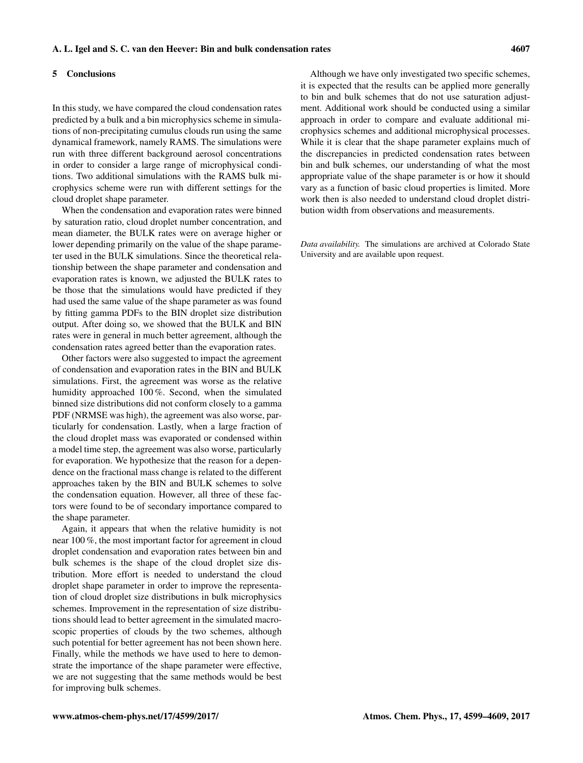#### A. L. Igel and S. C. van den Heever: Bin and bulk condensation rates 4607

#### 5 Conclusions

In this study, we have compared the cloud condensation rates predicted by a bulk and a bin microphysics scheme in simulations of non-precipitating cumulus clouds run using the same dynamical framework, namely RAMS. The simulations were run with three different background aerosol concentrations in order to consider a large range of microphysical conditions. Two additional simulations with the RAMS bulk microphysics scheme were run with different settings for the cloud droplet shape parameter.

When the condensation and evaporation rates were binned by saturation ratio, cloud droplet number concentration, and mean diameter, the BULK rates were on average higher or lower depending primarily on the value of the shape parameter used in the BULK simulations. Since the theoretical relationship between the shape parameter and condensation and evaporation rates is known, we adjusted the BULK rates to be those that the simulations would have predicted if they had used the same value of the shape parameter as was found by fitting gamma PDFs to the BIN droplet size distribution output. After doing so, we showed that the BULK and BIN rates were in general in much better agreement, although the condensation rates agreed better than the evaporation rates.

Other factors were also suggested to impact the agreement of condensation and evaporation rates in the BIN and BULK simulations. First, the agreement was worse as the relative humidity approached 100 %. Second, when the simulated binned size distributions did not conform closely to a gamma PDF (NRMSE was high), the agreement was also worse, particularly for condensation. Lastly, when a large fraction of the cloud droplet mass was evaporated or condensed within a model time step, the agreement was also worse, particularly for evaporation. We hypothesize that the reason for a dependence on the fractional mass change is related to the different approaches taken by the BIN and BULK schemes to solve the condensation equation. However, all three of these factors were found to be of secondary importance compared to the shape parameter.

Again, it appears that when the relative humidity is not near 100 %, the most important factor for agreement in cloud droplet condensation and evaporation rates between bin and bulk schemes is the shape of the cloud droplet size distribution. More effort is needed to understand the cloud droplet shape parameter in order to improve the representation of cloud droplet size distributions in bulk microphysics schemes. Improvement in the representation of size distributions should lead to better agreement in the simulated macroscopic properties of clouds by the two schemes, although such potential for better agreement has not been shown here. Finally, while the methods we have used to here to demonstrate the importance of the shape parameter were effective, we are not suggesting that the same methods would be best for improving bulk schemes.

Although we have only investigated two specific schemes, it is expected that the results can be applied more generally to bin and bulk schemes that do not use saturation adjustment. Additional work should be conducted using a similar approach in order to compare and evaluate additional microphysics schemes and additional microphysical processes. While it is clear that the shape parameter explains much of the discrepancies in predicted condensation rates between bin and bulk schemes, our understanding of what the most appropriate value of the shape parameter is or how it should vary as a function of basic cloud properties is limited. More work then is also needed to understand cloud droplet distribution width from observations and measurements.

*Data availability.* The simulations are archived at Colorado State University and are available upon request.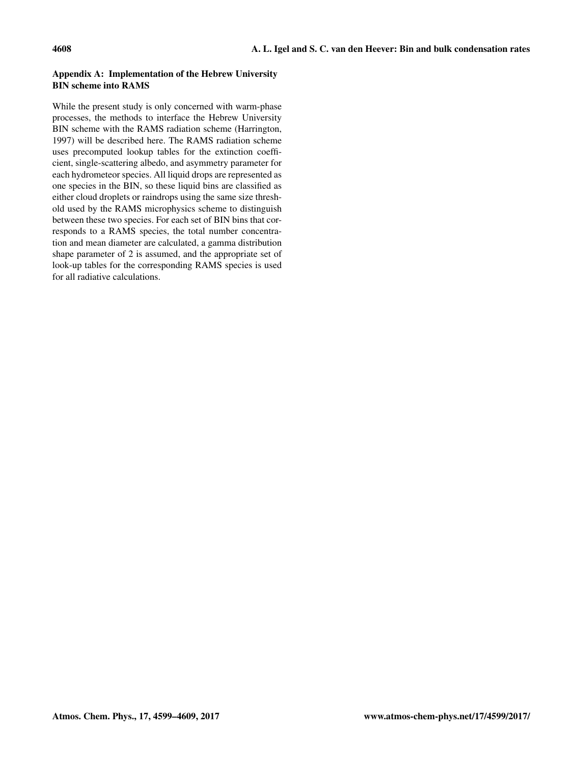# Appendix A: Implementation of the Hebrew University BIN scheme into RAMS

While the present study is only concerned with warm-phase processes, the methods to interface the Hebrew University BIN scheme with the RAMS radiation scheme (Harrington, 1997) will be described here. The RAMS radiation scheme uses precomputed lookup tables for the extinction coefficient, single-scattering albedo, and asymmetry parameter for each hydrometeor species. All liquid drops are represented as one species in the BIN, so these liquid bins are classified as either cloud droplets or raindrops using the same size threshold used by the RAMS microphysics scheme to distinguish between these two species. For each set of BIN bins that corresponds to a RAMS species, the total number concentration and mean diameter are calculated, a gamma distribution shape parameter of 2 is assumed, and the appropriate set of look-up tables for the corresponding RAMS species is used for all radiative calculations.